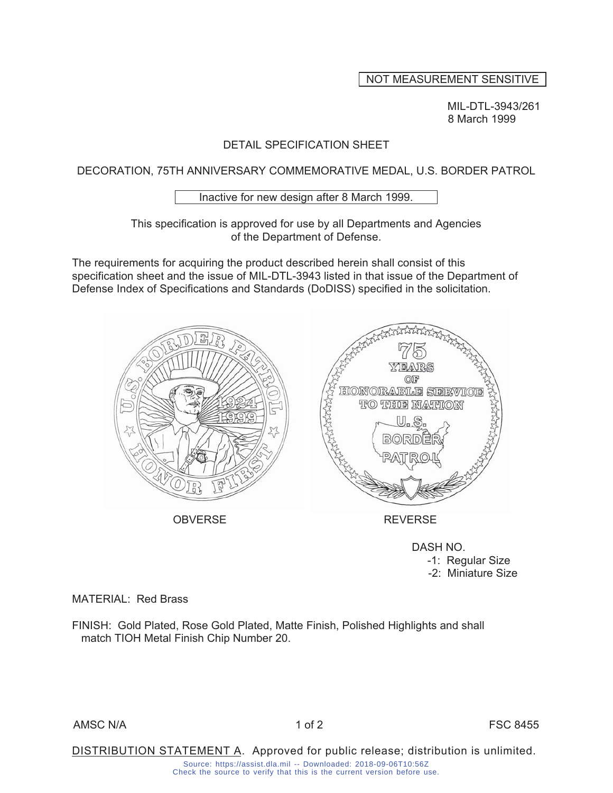# NOT MEASUREMENT SENSITIVE

MIL-DTL-3943/261 8 March 1999

#### DETAIL SPECIFICATION SHEET

DECORATION, 75TH ANNIVERSARY COMMEMORATIVE MEDAL, U.S. BORDER PATROL

Inactive for new design after 8 March 1999.

This specification is approved for use by all Departments and Agencies of the Department of Defense.

The requirements for acquiring the product described herein shall consist of this specification sheet and the issue of MIL-DTL-3943 listed in that issue of the Department of Defense Index of Specifications and Standards (DoDISS) specified in the solicitation.



OBVERSE REVERSE

DASH NO.

 -1: Regular Size -2: Miniature Size

MATERIAL: Red Brass

FINISH: Gold Plated, Rose Gold Plated, Matte Finish, Polished Highlights and shall match TIOH Metal Finish Chip Number 20.

AMSC N/A 2 1 of 2 FSC 8455

DISTRIBUTION STATEMENT A. Approved for public release; distribution is unlimited. Source: https://assist.dla.mil -- Downloaded: 2018-09-06T10:56Z Check the source to verify that this is the current version before use.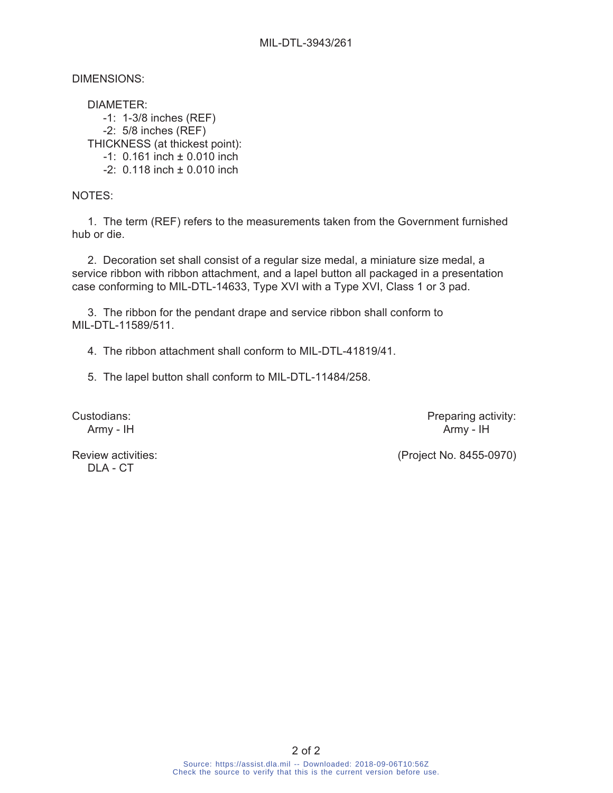DIMENSIONS:

 DIAMETER: -1: 1-3/8 inches (REF) -2: 5/8 inches (REF) THICKNESS (at thickest point): -1: 0.161 inch ± 0.010 inch  $-2$ : 0.118 inch  $\pm$  0.010 inch

NOTES:

 1. The term (REF) refers to the measurements taken from the Government furnished hub or die.

 2. Decoration set shall consist of a regular size medal, a miniature size medal, a service ribbon with ribbon attachment, and a lapel button all packaged in a presentation case conforming to MIL-DTL-14633, Type XVI with a Type XVI, Class 1 or 3 pad.

 3. The ribbon for the pendant drape and service ribbon shall conform to MIL-DTL-11589/511.

4. The ribbon attachment shall conform to MIL-DTL-41819/41.

5. The lapel button shall conform to MIL-DTL-11484/258.

Custodians: Custodians: **Preparing activity:** Army - IH Army - IH

DLA - CT

Review activities:  $(Project No. 8455-0970)$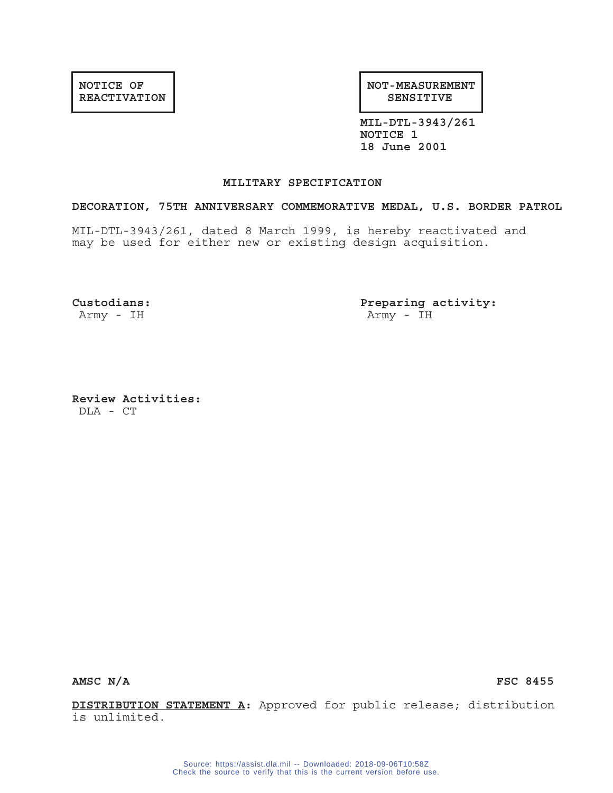#### **NOTICE OF REACTIVATION**

**NOT-MEASUREMENT SENSITIVE**

**MIL-DTL-3943/261 NOTICE 1 18 June 2001**

#### **MILITARY SPECIFICATION**

#### **DECORATION, 75TH ANNIVERSARY COMMEMORATIVE MEDAL, U.S. BORDER PATROL**

MIL-DTL-3943/261, dated 8 March 1999, is hereby reactivated and may be used for either new or existing design acquisition.

**Custodians: Preparing activity:** Army - IH Army - IH

**Review Activities:** DLA - CT

AMSC N/A FSC 8455

**DISTRIBUTION STATEMENT A:** Approved for public release; distribution is unlimited.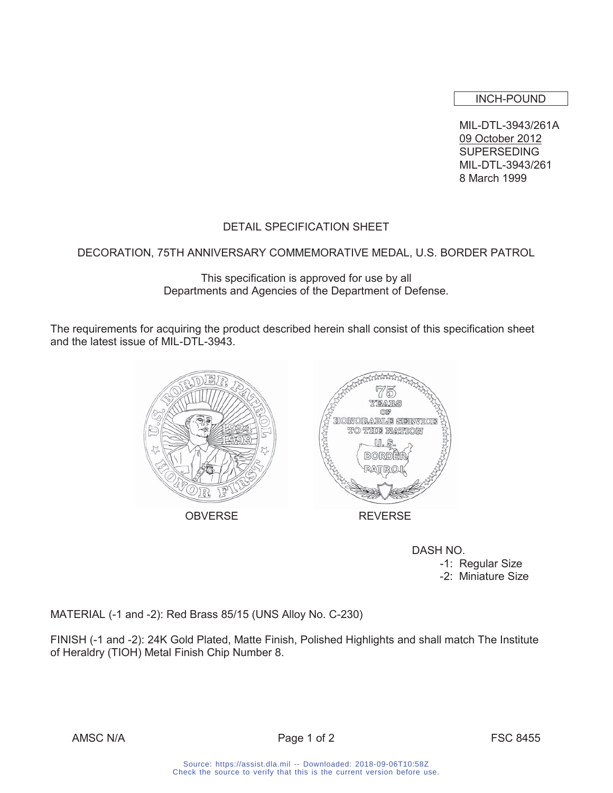INCH-POUND

MIL-DTL-3943/261A 09 October 2012 **SUPERSEDING** MIL-DTL-3943/261 8 March 1999

# DETAIL SPECIFICATION SHEET

## DECORATION, 75TH ANNIVERSARY COMMEMORATIVE MEDAL, U.S. BORDER PATROL

This specification is approved for use by all Departments and Agencies of the Department of Defense.

The requirements for acquiring the product described herein shall consist of this specification sheet and the latest issue of MIL-DTL-3943.



 DASH NO. -1: Regular Size -2: Miniature Size

MATERIAL (-1 and -2): Red Brass 85/15 (UNS Alloy No. C-230)

FINISH (-1 and -2): 24K Gold Plated, Matte Finish, Polished Highlights and shall match The Institute of Heraldry (TIOH) Metal Finish Chip Number 8.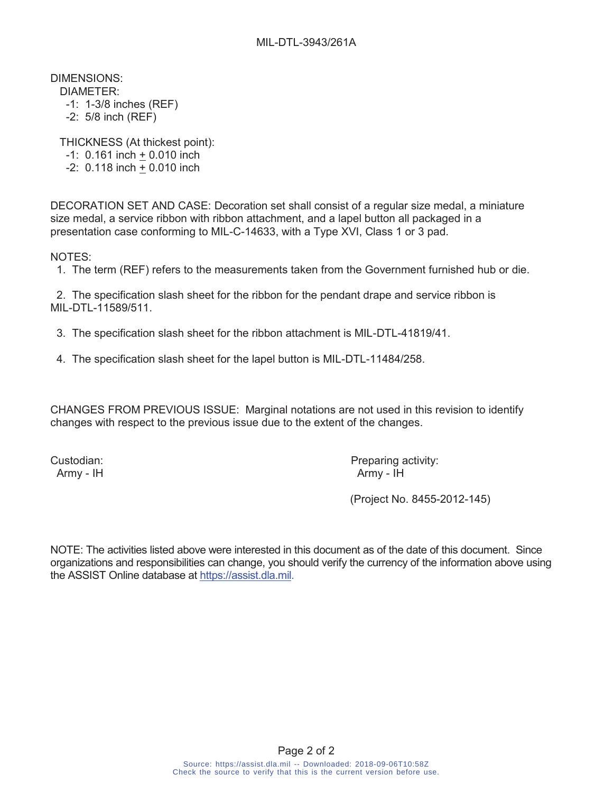DIMENSIONS:

- DIAMETER:
- -1: 1-3/8 inches (REF)
- -2: 5/8 inch (REF)

THICKNESS (At thickest point):

- -1: 0.161 inch + 0.010 inch
- -2: 0.118 inch + 0.010 inch

DECORATION SET AND CASE: Decoration set shall consist of a regular size medal, a miniature size medal, a service ribbon with ribbon attachment, and a lapel button all packaged in a presentation case conforming to MIL-C-14633, with a Type XVI, Class 1 or 3 pad.

NOTES:

1. The term (REF) refers to the measurements taken from the Government furnished hub or die.

 2. The specification slash sheet for the ribbon for the pendant drape and service ribbon is MIL-DTL-11589/511.

- 3. The specification slash sheet for the ribbon attachment is MIL-DTL-41819/41.
- 4. The specification slash sheet for the lapel button is MIL-DTL-11484/258.

CHANGES FROM PREVIOUS ISSUE: Marginal notations are not used in this revision to identify changes with respect to the previous issue due to the extent of the changes.

Custodian: Custodian: Preparing activity: Army - IH Army - IH

(Project No. 8455-2012-145)

NOTE: The activities listed above were interested in this document as of the date of this document. Since organizations and responsibilities can change, you should verify the currency of the information above using the ASSIST Online database at https://assist.dla.mil.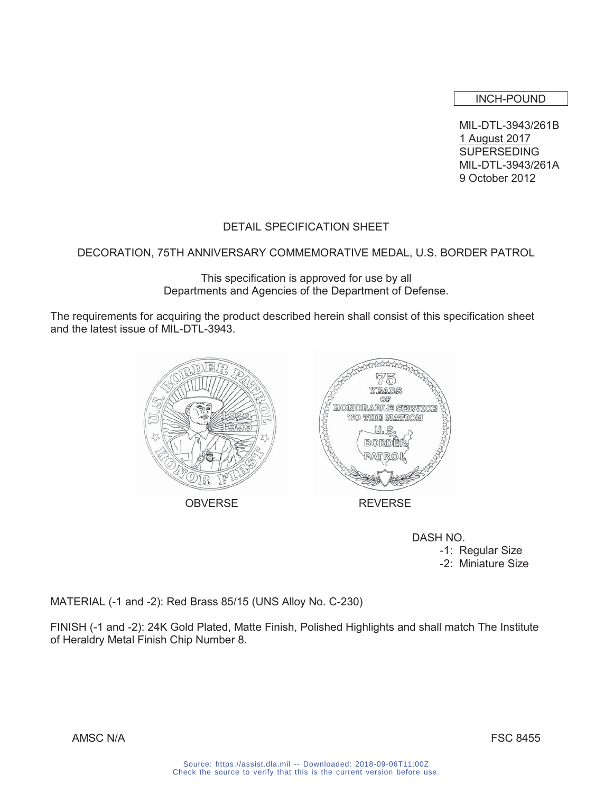INCH-POUND

MIL-DTL-3943/261B 1 August 2017 SUPERSEDING MIL-DTL-3943/261A 9 October 2012

# DETAIL SPECIFICATION SHEET

## DECORATION, 75TH ANNIVERSARY COMMEMORATIVE MEDAL, U.S. BORDER PATROL

This specification is approved for use by all Departments and Agencies of the Department of Defense.

The requirements for acquiring the product described herein shall consist of this specification sheet and the latest issue of MIL-DTL-3943.



 DASH NO. -1: Regular Size -2: Miniature Size

MATERIAL (-1 and -2): Red Brass 85/15 (UNS Alloy No. C-230)

FINISH (-1 and -2): 24K Gold Plated, Matte Finish, Polished Highlights and shall match The Institute of Heraldry Metal Finish Chip Number 8.